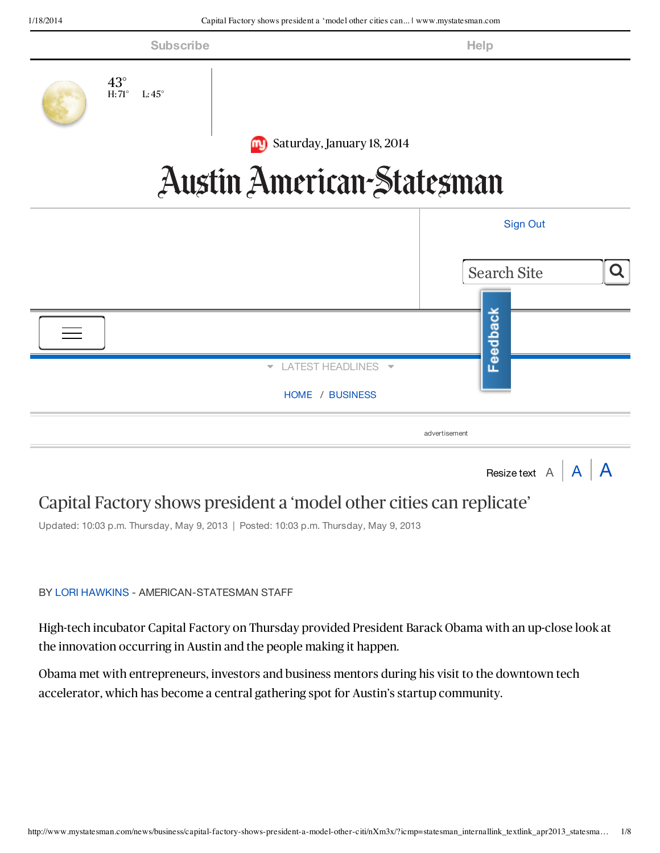

# Capital Factory shows president a 'model other cities can replicate'

Updated: 10:03 p.m. Thursday, May 9, 2013 | Posted: 10:03 p.m. Thursday, May 9, 2013

## BY LORI [HAWKINS](http://www.mystatesman.com/staff/lori-hawkins/) - AMERICAN-STATESMAN STAFF

High-tech incubator Capital Factory on Thursday provided President Barack Obama with an up-close look at the innovation occurring in Austin and the people making it happen.

Obama met with entrepreneurs, investors and business mentors during his visit to the downtown tech accelerator, which has become a central gathering spot for Austin's startup community.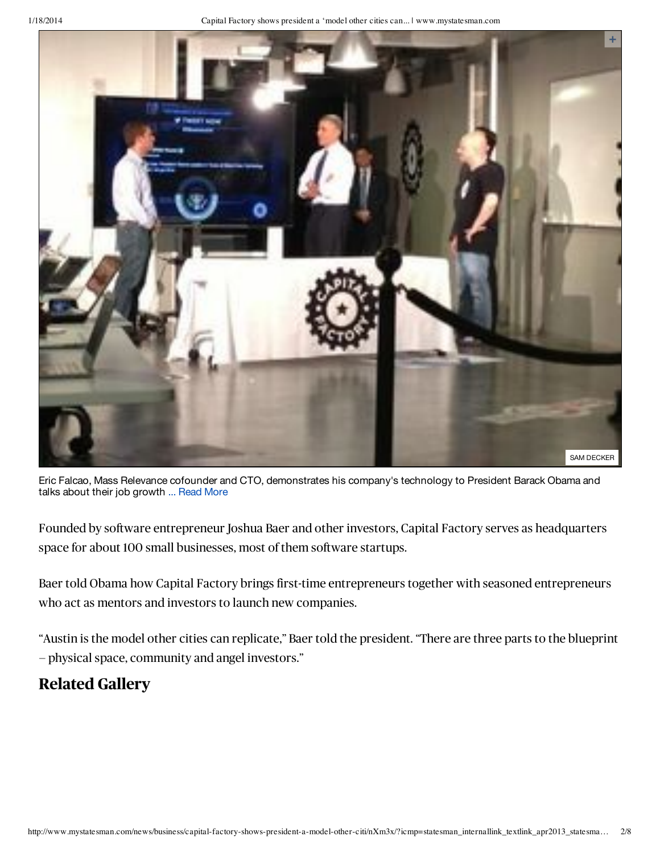

Eric Falcao, Mass Relevance cofounder and CTO, demonstrates his company's technology to President Barack Obama and talks about their job growth ... Read More

Founded by software entrepreneur Joshua Baer and other investors, Capital Factory serves as headquarters space for about 100 small businesses, most of them software startups.

Baer told Obama how Capital Factory brings first-time entrepreneurs together with seasoned entrepreneurs who act as mentors and investors to launch new companies.

"Austin is the model other cities can replicate," Baer told the president. "There are three parts to the blueprint — physical space, community and angel investors."

# **Related Gallery**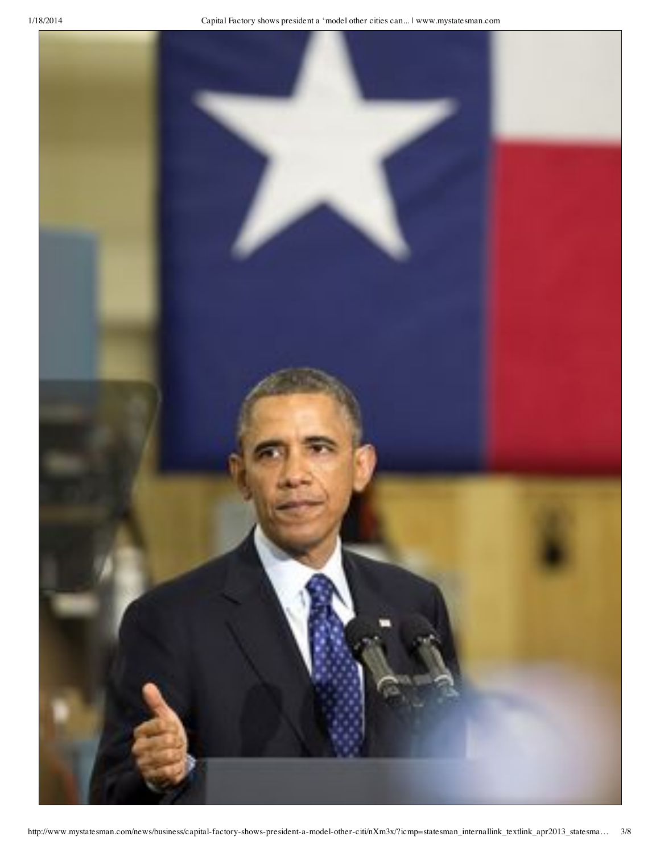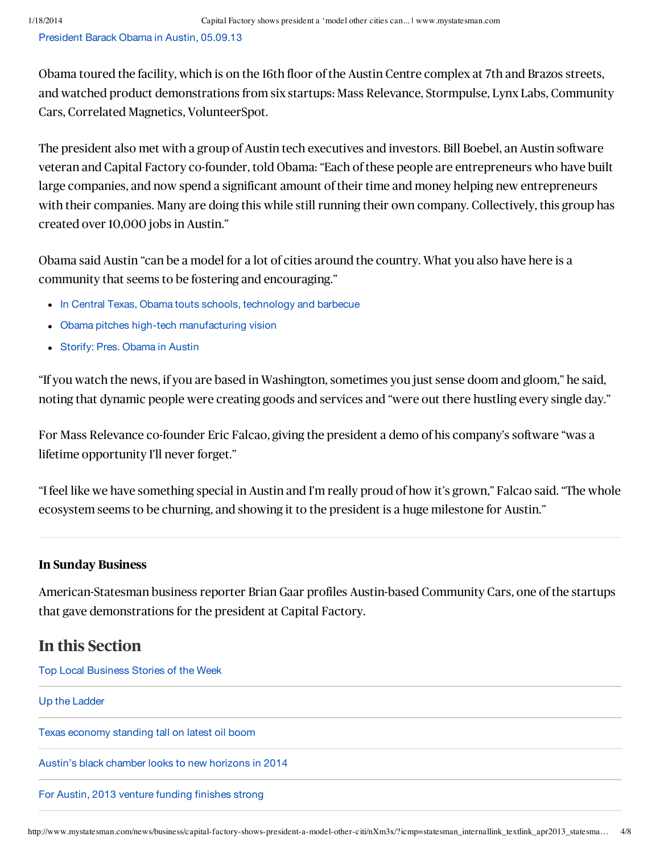Obama toured the facility, which is on the 16th floor of the Austin Centre complex at 7th and Brazos streets, and watched product demonstrations from six startups: Mass Relevance, Stormpulse, Lynx Labs, Community Cars, Correlated Magnetics, VolunteerSpot.

The president also met with a group of Austin tech executives and investors. Bill Boebel, an Austin software veteran and Capital Factory co-founder, told Obama: "Each of these people are entrepreneurs who have built large companies, and now spend a significant amount of their time and money helping new entrepreneurs with their companies. Many are doing this while still running their own company. Collectively, this group has created over 10,000 jobs in Austin."

Obama said Austin "can be a model for a lot of cities around the country. What you also have here is a community that seems to be fostering and encouraging."

- In Central Texas, Obama touts schools, [technology](http://www.mystatesman.com/news/news/state-regional-govt-politics/official-obama-to-issue-executive-order-on-data-ac/nXmQ3/) and barbecue
- Obama pitches high-tech [manufacturing](http://www.mystatesman.com/news/business/obama-pitches-high-tech-manufacturing-vision/nXm47/) vision
- [Storify:](http://www.mystatesman.com/news/news/obama-storify-050913/) Pres. Obama in Austin

"If you watch the news, if you are based in Washington, sometimes you just sense doom and gloom," he said, noting that dynamic people were creating goods and services and "were out there hustling every single day."

For Mass Relevance co-founder Eric Falcao, giving the president a demo of his company's software "was a lifetime opportunity I'll never forget."

"I feel like we have something special in Austin and I'm really proud of how it's grown," Falcao said. "The whole ecosystem seems to be churning, and showing it to the president is a huge milestone for Austin."

## **In Sunday Business**

American-Statesman business reporter Brian Gaar profiles Austin-based Community Cars, one of the startups that gave demonstrations for the president at Capital Factory.

## **In this Section**

Top Local [Business](http://www.mystatesman.com/news/business/top-local-business-stories-of-the-week/ncqtZ/) Stories of the Week

Up the [Ladder](http://www.mystatesman.com/news/business/up-the-ladder/ncqwp/)

Texas [economy](http://www.mystatesman.com/news/business/texas-economy-standing-tall-on-latest-oil-boom/ncqfp/) standing tall on latest oil boom

Austin's black chamber looks to new [horizons](http://www.mystatesman.com/news/business/austins-black-chamber-looks-to-new-horizons-in-201/ncqxD/) in 2014

For Austin, 2013 venture funding [finishes](http://www.mystatesman.com/news/business/for-austin-2013-venture-funding-finishes-strong/ncrBP/) strong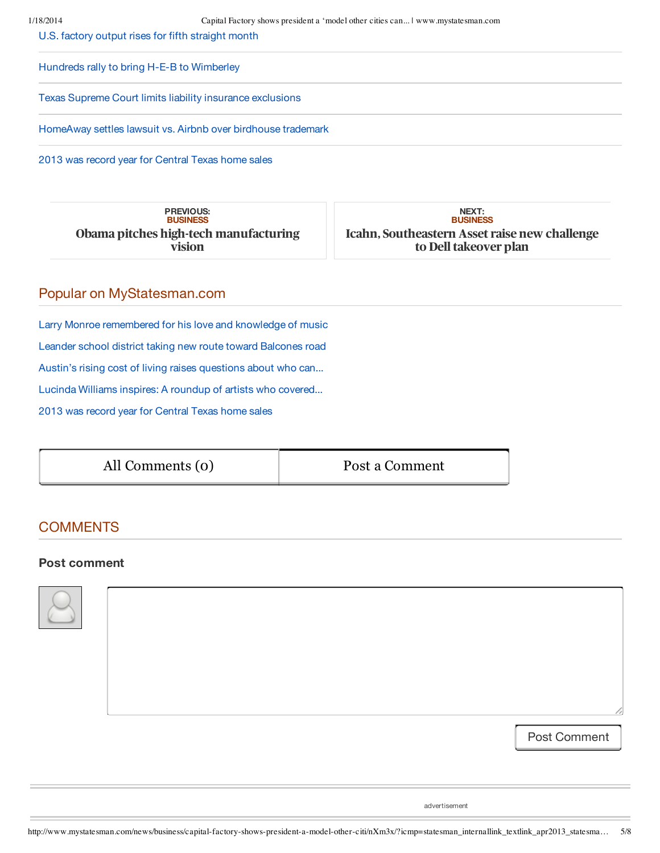U.S. factory output rises for fifth [straight](http://www.mystatesman.com/news/business/us-factory-output-rises-for-fifth-straight-month/ncsPk/) month

Hundreds rally to bring H-E-B to [Wimberley](http://www.mystatesman.com/news/news/local/hundreds-rally-to-bring-h-e-b-to-wimberley/ncsN7/)

Texas Supreme Court limits liability insurance [exclusions](http://www.mystatesman.com/news/news/texas-supreme-court-limits-liability-insurance-exc/ncsNc/)

[HomeAway](http://www.mystatesman.com/news/news/local/homeaway-settles-lawsuit-vs-airbnb-over-birdhouse-/ncsMT/) settles lawsuit vs. Airbnb over birdhouse trademark

2013 was record year for [Central](http://www.mystatesman.com/news/business/2013-was-record-year-for-central-texas-home-sales/ncsL5/) Texas home sales

**PREVIOUS: BUSINESS Obama pitches high-tech [manufacturing](http://www.mystatesman.com/news/business/obama-pitches-high-tech-manufacturing-vision/nXm47/) vision**

**NEXT: BUSINESS Icahn, [Southeastern](http://www.mystatesman.com/news/business/icahn-southeastern-raised-new-challenge-to-dell-in/nXnSR/) Asset raise new challenge to Dell takeover plan**

## Popular on MyStatesman.com

Larry Monroe [remembered](http://mystatesman.com/news/entertainment/music/larry-monroe-remembered-for-his-love-and-knowledge/ncsQK/?ref=cbTopWidget&icmp=mystatesman_internallink_cbpopular_bottom) for his love and knowledge of music Leander school district taking new route toward [Balcones](http://mystatesman.com/news/news/local/leander-school-district-taking-new-route-toward-ba/ncrLw/?ref=cbTopWidget&icmp=mystatesman_internallink_cbpopular_bottom) road Austin's rising cost of living raises [questions](http://mystatesman.com/news/news/austins-rising-cost-of-living-raises-questions-abo/nccfd/?ref=cbTopWidget&icmp=mystatesman_internallink_cbpopular_bottom) about who can... Lucinda Williams inspires: A roundup of artists who [covered...](http://mystatesman.com/news/entertainment/music/lucinda-williams-inspires-a-roundup-of-artists-who/nchXR/?ref=cbTopWidget&icmp=mystatesman_internallink_cbpopular_bottom) 2013 was record year for [Central](http://mystatesman.com/news/business/2013-was-record-year-for-central-texas-home-sales/ncsL5/?ref=cbTopWidget&icmp=mystatesman_internallink_cbpopular_bottom) Texas home sales

| All Comments (0) | Post a Comment |
|------------------|----------------|
|                  |                |

## **COMMENTS**

### **Post comment**



advertisement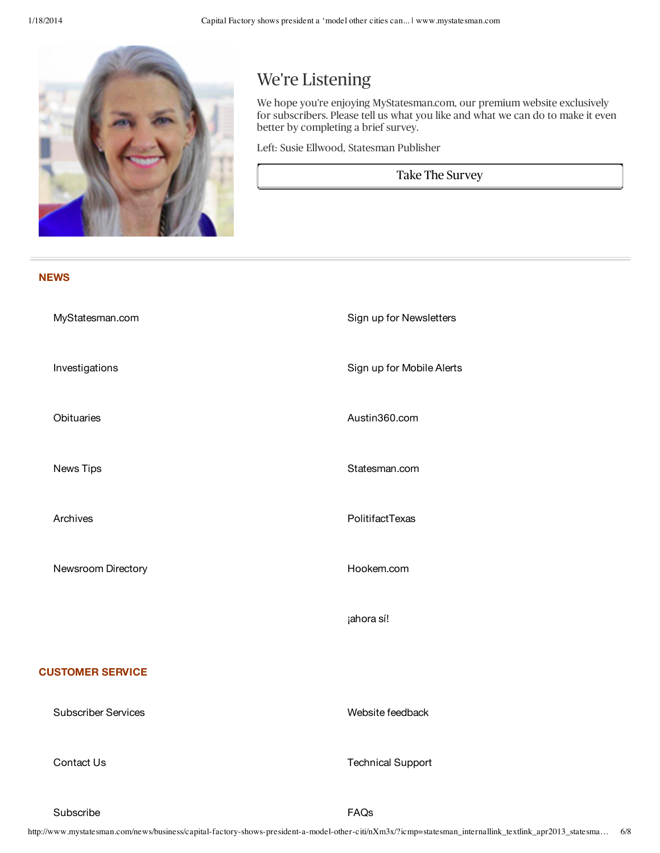

# We're Listening

We hope you're enjoying MyStatesman.com, our premium website exclusively for subscribers. Please tell us what you like and what we can do to make it even better by completing a brief survey.

Left: Susie Ellwood, Statesman Publisher

Take The [Survey](https://coxinc.qualtrics.com/SE/?SID=SV_73C6CRWgueiPeaF)

| <b>NEWS</b>             |                            |                           |  |  |
|-------------------------|----------------------------|---------------------------|--|--|
|                         | MyStatesman.com            | Sign up for Newsletters   |  |  |
|                         | Investigations             | Sign up for Mobile Alerts |  |  |
|                         | Obituaries                 | Austin360.com             |  |  |
|                         | News Tips                  | Statesman.com             |  |  |
|                         | Archives                   | PolitifactTexas           |  |  |
|                         | Newsroom Directory         | Hookem.com                |  |  |
|                         |                            | ¡ahora sí!                |  |  |
| <b>CUSTOMER SERVICE</b> |                            |                           |  |  |
|                         | <b>Subscriber Services</b> | Website feedback          |  |  |
|                         | Contact Us                 | <b>Technical Support</b>  |  |  |
|                         | Subscribe                  | FAQs                      |  |  |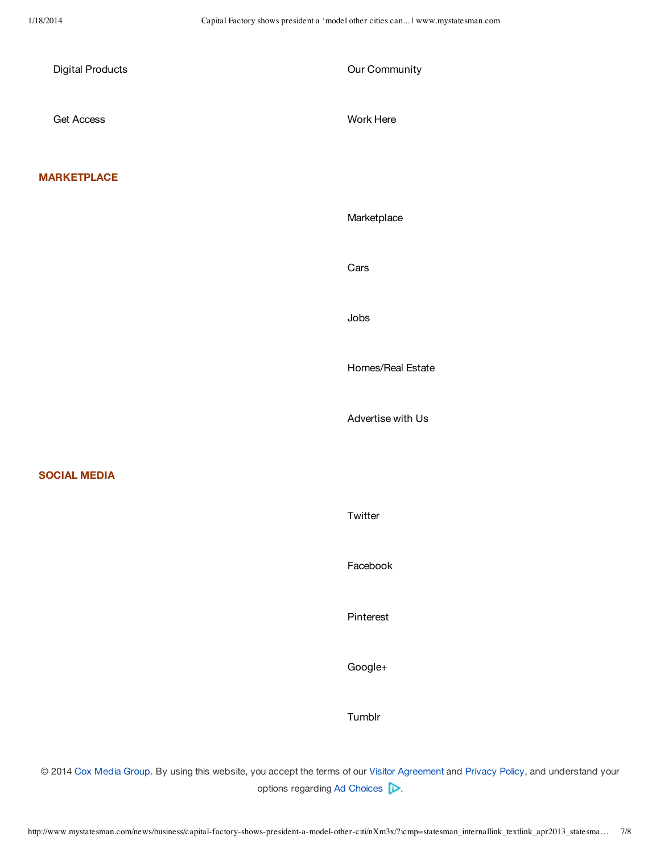Our [Community](http://community.statesman.com/)

[Work](http://www.statesman.com/news/online/contacts/careers-statesman/nFr7j/) Here

[Marketplace](http://www.statesman.com/s/marketplace/)

[Cars](http://www.statesman.com/s/cars/)

[Jobs](http://www.statesman.com/s/jobs/)

[Homes/Real](http://www.statesman.com/s/homes/) Estate

[Advertise](http://statesmansolutions.com/) with Us

| <b>Digital Products</b> |  |
|-------------------------|--|
| <b>Get Access</b>       |  |

### **MARKETPLACE**

#### **SOCIAL MEDIA**

[Google+](https://plus.google.com/+Statesman/posts/)

**[Twitter](http://www.twitter.com/statesman)** 

[Facebook](http://www.facebook.com/statesman)

[Pinterest](http://www.pinterest.com/austinstatesman)

[Tumblr](http://austin360.tumblr.com/)

© 2014 Cox Media [Group.](http://www.coxmediagroup.com/) By using this website, you accept the terms of our Visitor [Agreement](http://www.mystatesman.com/visitor_agreement/) and [Privacy](http://www.mystatesman.com/privacy_policy/) Policy, and understand your options regarding Ad [Choices](http://www.mystatesman.com/privacy_policy/#ad-choices)